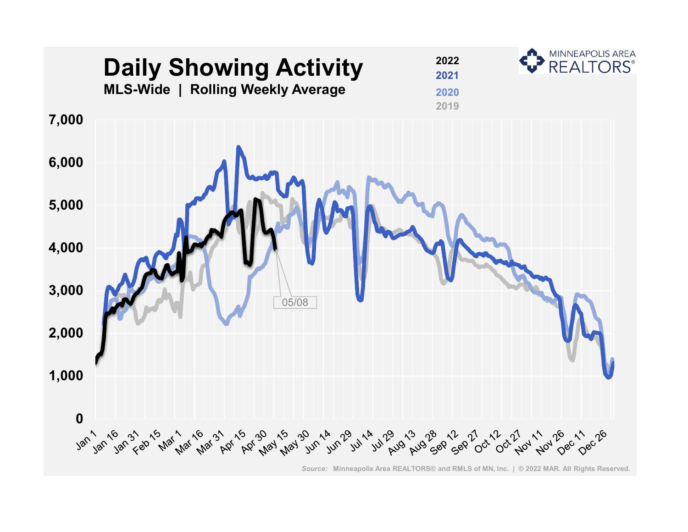

*Source:* **Minneapolis Area REALTORS® and RMLS of MN, Inc. | © 2022 MAR. All Rights Reserved.**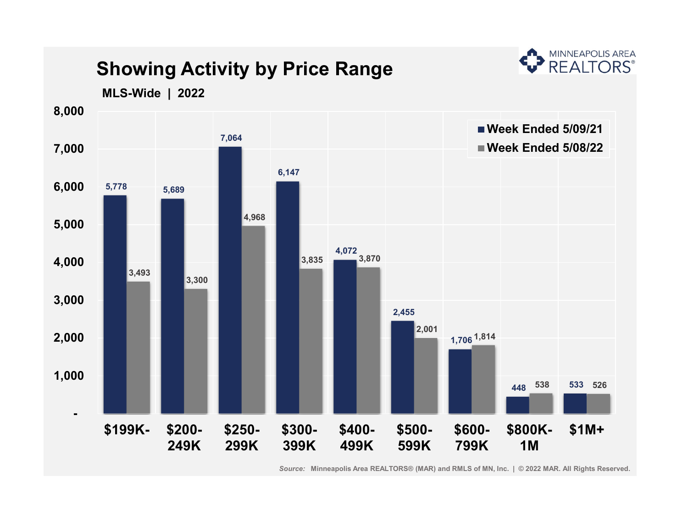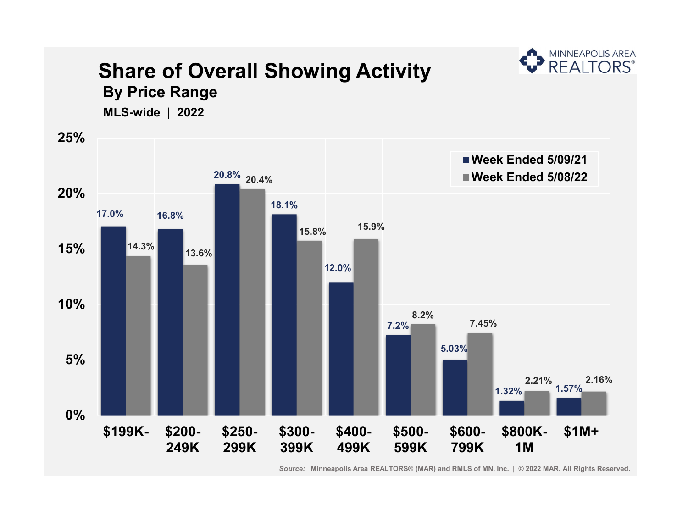

**Share of Overall Showing Activity**

*Source:* **Minneapolis Area REALTORS® (MAR) and RMLS of MN, Inc. | © 2022 MAR. All Rights Reserved.**

**A** MINNEAPOLIS AREA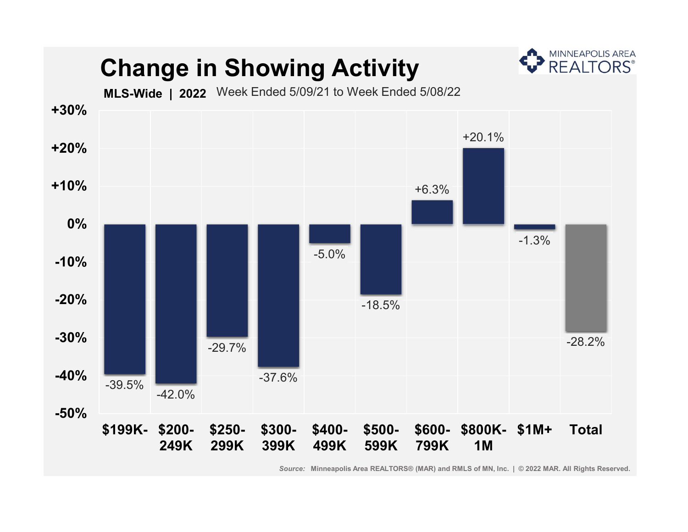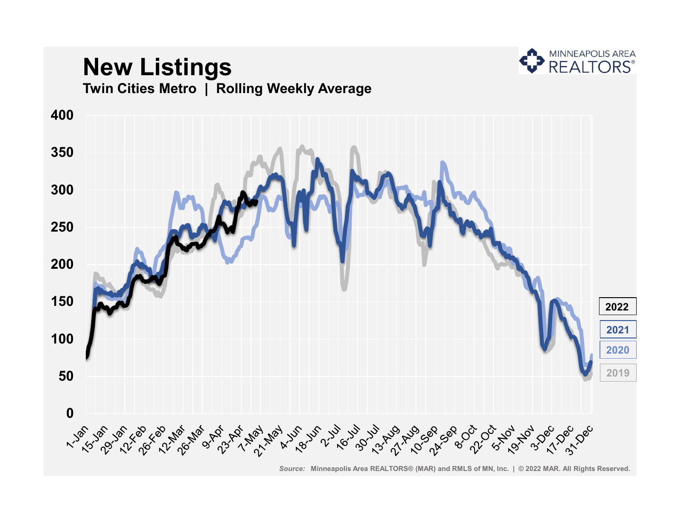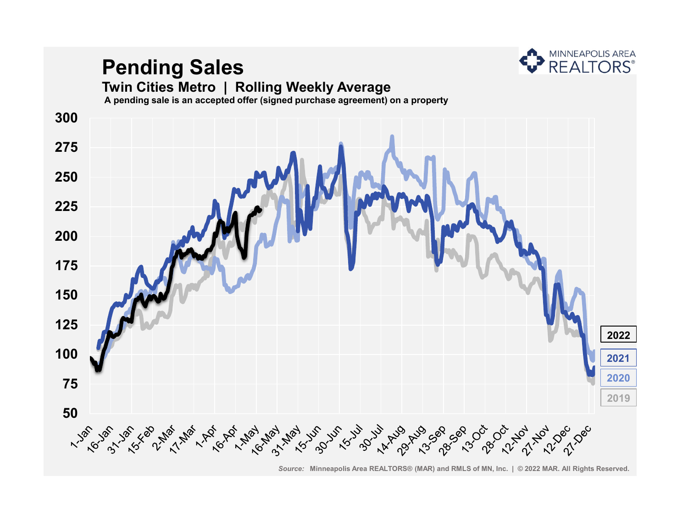

# **Pending Sales**

#### **Twin Cities Metro | Rolling Weekly Average**

**A pending sale is an accepted offer (signed purchase agreement) on a property**

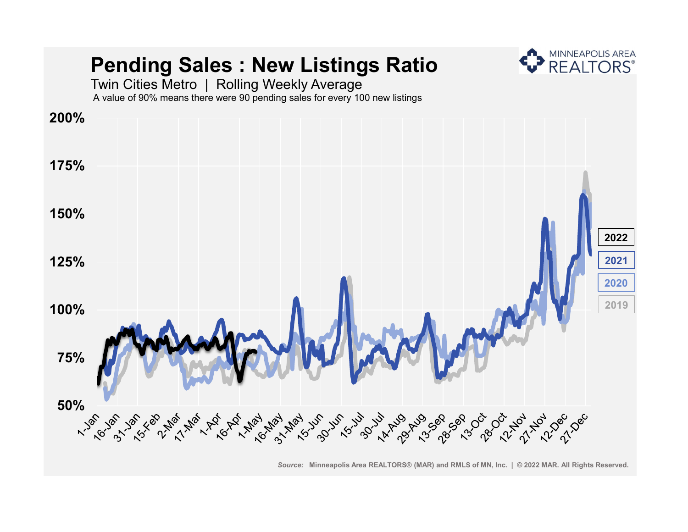## **Pending Sales : New Listings Ratio**



Twin Cities Metro | Rolling Weekly Average A value of 90% means there were 90 pending sales for every 100 new listings

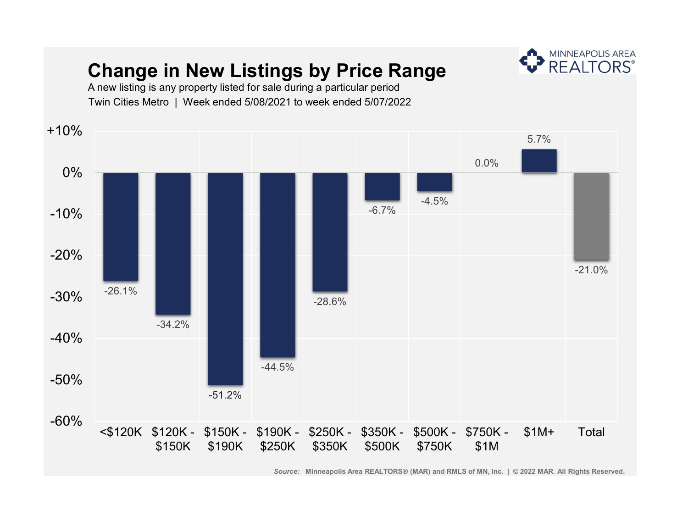#### **Change in New Listings by Price Range**



A new listing is any property listed for sale during a particular period Twin Cities Metro | Week ended 5/08/2021 to week ended 5/07/2022

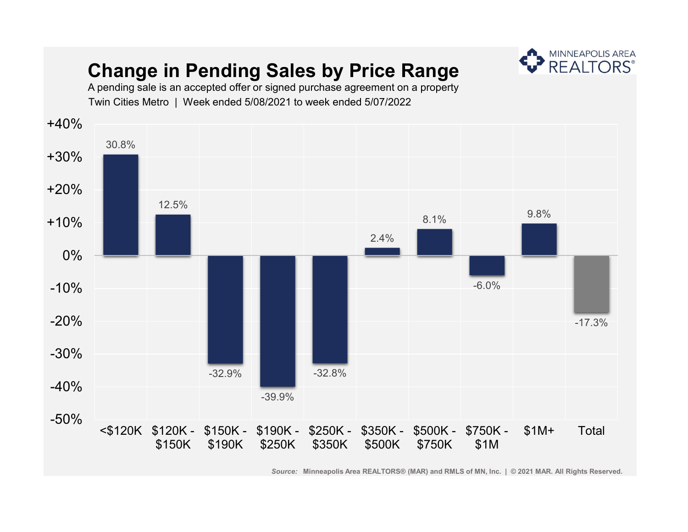### **Change in Pending Sales by Price Range**



A pending sale is an accepted offer or signed purchase agreement on a property Twin Cities Metro | Week ended 5/08/2021 to week ended 5/07/2022

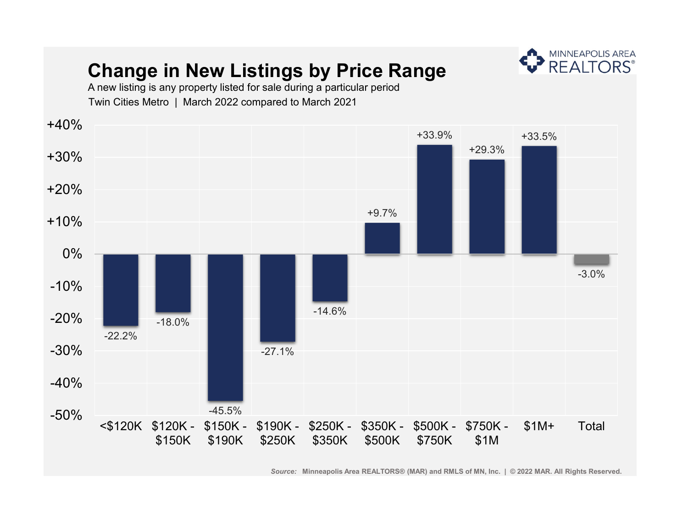### **Change in New Listings by Price Range**



A new listing is any property listed for sale during a particular period Twin Cities Metro | March 2022 compared to March 2021

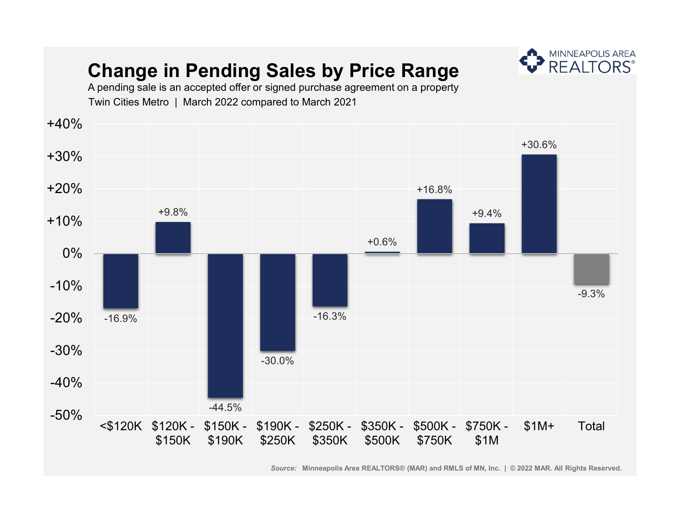### **Change in Pending Sales by Price Range**



A pending sale is an accepted offer or signed purchase agreement on a property Twin Cities Metro | March 2022 compared to March 2021